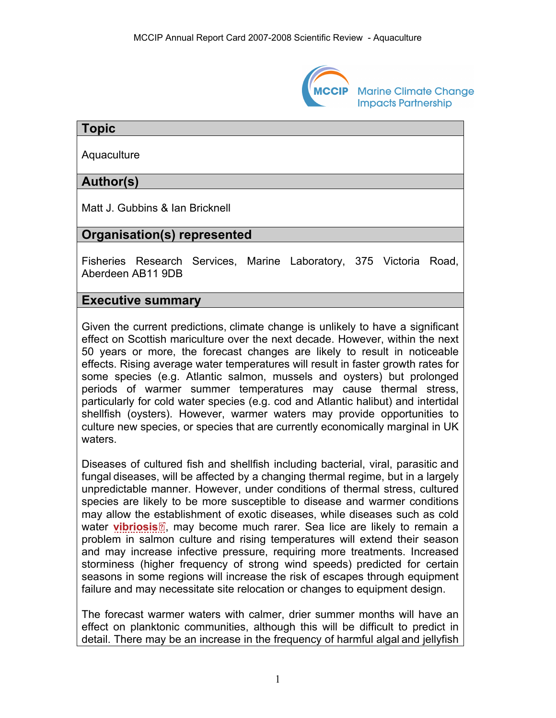

**Marine Climate Change Impacts Partnership** 

# **Topic**

**Aquaculture** 

# **Author(s)**

Matt J. Gubbins & Ian Bricknell

# **Organisation(s) represented**

Fisheries Research Services, Marine Laboratory, 375 Victoria Road, Aberdeen AB11 9DB

### **Executive summary**

Given the current predictions, climate change is unlikely to have a significant effect on Scottish mariculture over the next decade. However, within the next 50 years or more, the forecast changes are likely to result in noticeable effects. Rising average water temperatures will result in faster growth rates for some species (e.g. Atlantic salmon, mussels and oysters) but prolonged periods of warmer summer temperatures may cause thermal stress, particularly for cold water species (e.g. cod and Atlantic halibut) and intertidal shellfish (oysters). However, warmer waters may provide opportunities to culture new species, or species that are currently economically marginal in UK waters.

Diseases of cultured fish and shellfish including bacterial, viral, parasitic and fungal diseases, will be affected by a changing thermal regime, but in a largely unpredictable manner. However, under conditions of thermal stress, cultured species are likely to be more susceptible to disease and warmer conditions may allow the [est](http://www.mccip.org.uk/arc/2007/glossary.htm)ablishment of exotic diseases, while diseases such as cold water **[vibriosis](http://www.mccip.org.uk/arc/2007/glossary.htm#Vibriosis)**<sup>®</sup>, may become much rarer. Sea lice are likely to remain a problem in salmon culture and rising temperatures will extend their season and may increase infective pressure, requiring more treatments. Increased storminess (higher frequency of strong wind speeds) predicted for certain seasons in some regions will increase the risk of escapes through equipment failure and may necessitate site relocation or changes to equipment design.

The forecast warmer waters with calmer, drier summer months will have an effect on planktonic communities, although this will be difficult to predict in detail. There may be an increase in the frequency of harmful algal and jellyfish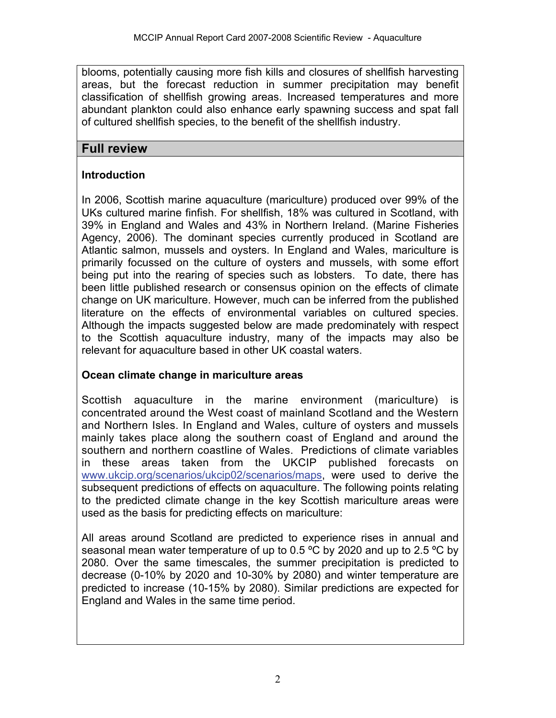blooms, potentially causing more fish kills and closures of shellfish harvesting areas, but the forecast reduction in summer precipitation may benefit classification of shellfish growing areas. Increased temperatures and more abundant plankton could also enhance early spawning success and spat fall of cultured shellfish species, to the benefit of the shellfish industry.

# **Full review**

# **Introduction**

In 2006, Scottish marine aquaculture (mariculture) produced over 99% of the UKs cultured marine finfish. For shellfish, 18% was cultured in Scotland, with 39% in England and Wales and 43% in Northern Ireland. (Marine Fisheries Agency, 2006). The dominant species currently produced in Scotland are Atlantic salmon, mussels and oysters. In England and Wales, mariculture is primarily focussed on the culture of oysters and mussels, with some effort being put into the rearing of species such as lobsters. To date, there has been little published research or consensus opinion on the effects of climate change on UK mariculture. However, much can be inferred from the published literature on the effects of environmental variables on cultured species. Although the impacts suggested below are made predominately with respect to the Scottish aquaculture industry, many of the impacts may also be relevant for aquaculture based in other UK coastal waters.

# **Ocean climate change in mariculture areas**

Scottish aquaculture in the marine environment (mariculture) is concentrated around the West coast of mainland Scotland and the Western and Northern Isles. In England and Wales, culture of oysters and mussels mainly takes place along the southern coast of England and around the southern and northern coastline of Wales. Predictions of climate variables in these areas taken from the UKCIP published forecasts on [www.ukcip.org/scenarios/ukcip02/scenarios/maps,](http://www.ukcip.org/scenarios/ukcip02/scenarios/maps) were used to derive the subsequent predictions of effects on aquaculture. The following points relating to the predicted climate change in the key Scottish mariculture areas were used as the basis for predicting effects on mariculture:

All areas around Scotland are predicted to experience rises in annual and seasonal mean water temperature of up to 0.5 ºC by 2020 and up to 2.5 ºC by 2080. Over the same timescales, the summer precipitation is predicted to decrease (0-10% by 2020 and 10-30% by 2080) and winter temperature are predicted to increase (10-15% by 2080). Similar predictions are expected for England and Wales in the same time period.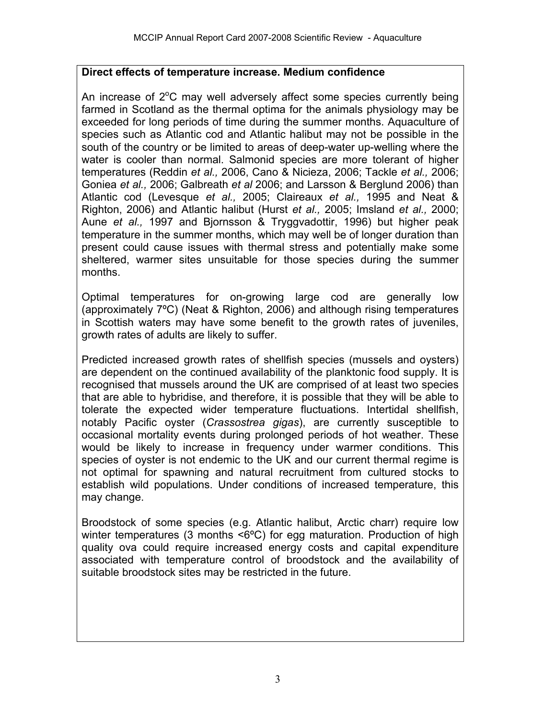#### **Direct effects of temperature increase. Medium confidence**

An increase of  $2^{\circ}$ C may well adversely affect some species currently being farmed in Scotland as the thermal optima for the animals physiology may be exceeded for long periods of time during the summer months. Aquaculture of species such as Atlantic cod and Atlantic halibut may not be possible in the south of the country or be limited to areas of deep-water up-welling where the water is cooler than normal. Salmonid species are more tolerant of higher temperatures (Reddin *et al.,* 2006, Cano & Nicieza, 2006; Tackle *et al.,* 2006; Goniea *et al.,* 2006; Galbreath *et al* 2006; and Larsson & Berglund 2006) than Atlantic cod (Levesque *et al.,* 2005; Claireaux *et al.,* 1995 and Neat & Righton, 2006) and Atlantic halibut (Hurst *et al.,* 2005; Imsland *et al.,* 2000; Aune *et al.,* 1997 and Bjornsson & Tryggvadottir, 1996) but higher peak temperature in the summer months, which may well be of longer duration than present could cause issues with thermal stress and potentially make some sheltered, warmer sites unsuitable for those species during the summer months.

Optimal temperatures for on-growing large cod are generally low (approximately 7ºC) (Neat & Righton, 2006) and although rising temperatures in Scottish waters may have some benefit to the growth rates of juveniles, growth rates of adults are likely to suffer.

Predicted increased growth rates of shellfish species (mussels and oysters) are dependent on the continued availability of the planktonic food supply. It is recognised that mussels around the UK are comprised of at least two species that are able to hybridise, and therefore, it is possible that they will be able to tolerate the expected wider temperature fluctuations. Intertidal shellfish, notably Pacific oyster (*Crassostrea gigas*), are currently susceptible to occasional mortality events during prolonged periods of hot weather. These would be likely to increase in frequency under warmer conditions. This species of oyster is not endemic to the UK and our current thermal regime is not optimal for spawning and natural recruitment from cultured stocks to establish wild populations. Under conditions of increased temperature, this may change.

Broodstock of some species (e.g. Atlantic halibut, Arctic charr) require low winter temperatures (3 months <6°C) for egg maturation. Production of high quality ova could require increased energy costs and capital expenditure associated with temperature control of broodstock and the availability of suitable broodstock sites may be restricted in the future.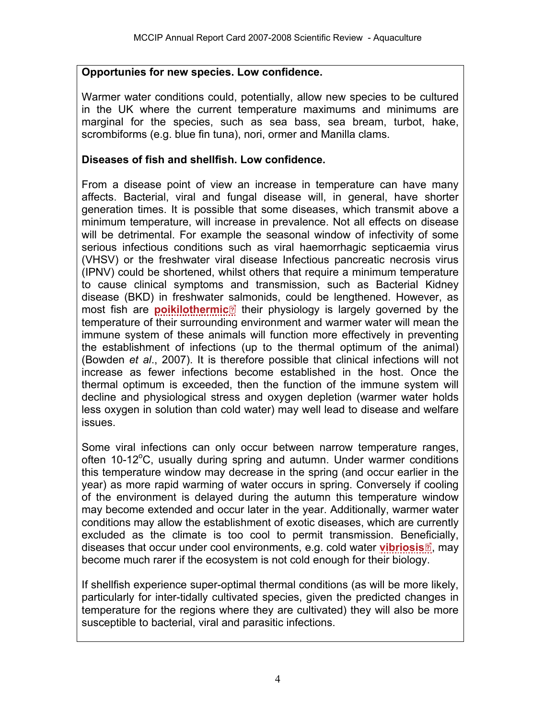#### **Opportunies for new species. Low confidence.**

Warmer water conditions could, potentially, allow new species to be cultured in the UK where the current temperature maximums and minimums are marginal for the species, such as sea bass, sea bream, turbot, hake, scrombiforms (e.g. blue fin tuna), nori, ormer and Manilla clams.

#### **Diseases of fish and shellfish. Low confidence.**

From a disease point of view an increase in temperature can have many affects. Bacterial, viral and fungal disease will, in general, have shorter generation times. It is possible that some diseases, which transmit above a minimum temperature, will increase in prevalence. Not all effects on disease will be detrimental. For example the seasonal window of infectivity of some serious infectious conditions such as viral haemorrhagic septicaemia virus (VHSV) or the freshwater viral disease Infectious pancreatic necrosis virus (IPNV) could be shortened, whilst others that require a minimum temperature to cause clinical symptoms and transmission, such as Bacterial Kidney disease (BKD) in freshwater [sa](http://www.mccip.org.uk/arc/2007/glossary.htm)lmonids, could be lengthened. However, as most fish are **[poikilothermic](http://www.mccip.org.uk/arc/2007/glossary.htm#Poikilotherms)**<sup>®</sup> their physiology is largely governed by the temperature of their surrounding environment and warmer water will mean the immune system of these animals will function more effectively in preventing the establishment of infections (up to the thermal optimum of the animal) (Bowden *et al*., 2007). It is therefore possible that clinical infections will not increase as fewer infections become established in the host. Once the thermal optimum is exceeded, then the function of the immune system will decline and physiological stress and oxygen depletion (warmer water holds less oxygen in solution than cold water) may well lead to disease and welfare issues.

Some viral infections can only occur between narrow temperature ranges, often 10-12°C, usually during spring and autumn. Under warmer conditions this temperature window may decrease in the spring (and occur earlier in the year) as more rapid warming of water occurs in spring. Conversely if cooling of the environment is delayed during the autumn this temperature window may become extended and occur later in the year. Additionally, warmer water conditions may allow the establishment of exotic diseases, which are currently excluded as the climate is too cool to permit transmission. Ben[efic](http://www.mccip.org.uk/arc/2007/glossary.htm)ially, diseases that occur under cool environments, e.g. cold water **[vibriosis](http://www.mccip.org.uk/arc/2007/glossary.htm#Vibriosis)**<sup>1</sup>, may become much rarer if the ecosystem is not cold enough for their biology.

If shellfish experience super-optimal thermal conditions (as will be more likely, particularly for inter-tidally cultivated species, given the predicted changes in temperature for the regions where they are cultivated) they will also be more susceptible to bacterial, viral and parasitic infections.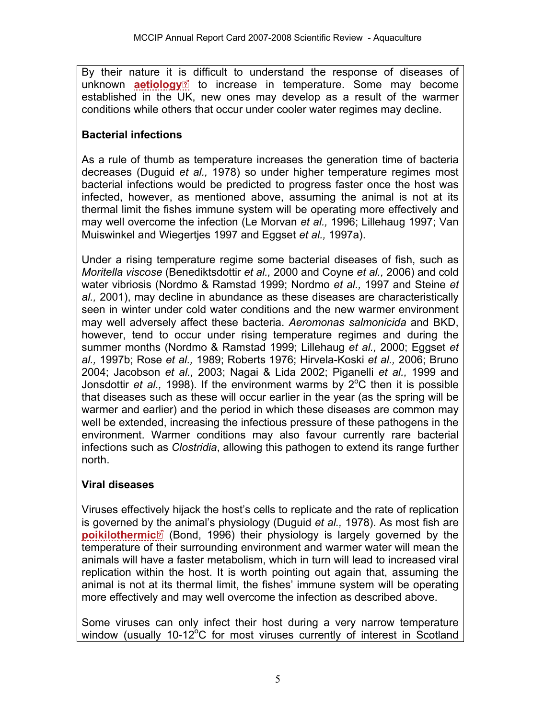By their nature it [is](http://www.mccip.org.uk/arc/2007/glossary.htm) difficult to understand the response of diseases of unknown **[aetiology](http://www.mccip.org.uk/arc/2007/glossary.htm#Aetiology)**<sup>2</sup> to increase in temperature. Some may become established in the UK, new ones may develop as a result of the warmer conditions while others that occur under cooler water regimes may decline.

# **Bacterial infections**

As a rule of thumb as temperature increases the generation time of bacteria decreases (Duguid *et al.,* 1978) so under higher temperature regimes most bacterial infections would be predicted to progress faster once the host was infected, however, as mentioned above, assuming the animal is not at its thermal limit the fishes immune system will be operating more effectively and may well overcome the infection (Le Morvan *et al.,* 1996; Lillehaug 1997; Van Muiswinkel and Wiegertjes 1997 and Eggset *et al.,* 1997a).

Under a rising temperature regime some bacterial diseases of fish, such as *Moritella viscose* (Benediktsdottir *et al.,* 2000 and Coyne *et al.,* 2006) and cold water vibriosis (Nordmo & Ramstad 1999; Nordmo *et al.,* 1997 and Steine *et al.,* 2001), may decline in abundance as these diseases are characteristically seen in winter under cold water conditions and the new warmer environment may well adversely affect these bacteria. *Aeromonas salmonicida* and BKD, however, tend to occur under rising temperature regimes and during the summer months (Nordmo & Ramstad 1999; Lillehaug *et al.,* 2000; Eggset *et al.,* 1997b; Rose *et al.,* 1989; Roberts 1976; Hirvela-Koski *et al.,* 2006; Bruno 2004; Jacobson *et al.,* 2003; Nagai & Lida 2002; Piganelli *et al.,* 1999 and Jonsdottir *et al.,* 1998). If the environment warms by  $2^{\circ}$ C then it is possible that diseases such as these will occur earlier in the year (as the spring will be warmer and earlier) and the period in which these diseases are common may well be extended, increasing the infectious pressure of these pathogens in the environment. Warmer conditions may also favour currently rare bacterial infections such as *Clostridia*, allowing this pathogen to extend its range further north.

# **Viral diseases**

Viruses effectively hijack the host's cells to replicate and the rate of replication is governed by [the](http://www.mccip.org.uk/arc/2007/glossary.htm) animal's physiology (Duguid *et al.,* 1978). As most fish are **[poikilothermic](http://www.mccip.org.uk/arc/2007/glossary.htm#Poikilotherms)**<sup>®</sup> (Bond, 1996) their physiology is largely governed by the temperature of their surrounding environment and warmer water will mean the animals will have a faster metabolism, which in turn will lead to increased viral replication within the host. It is worth pointing out again that, assuming the animal is not at its thermal limit, the fishes' immune system will be operating more effectively and may well overcome the infection as described above.

Some viruses can only infect their host during a very narrow temperature window (usually 10-12 $^{\circ}$ C for most viruses currently of interest in Scotland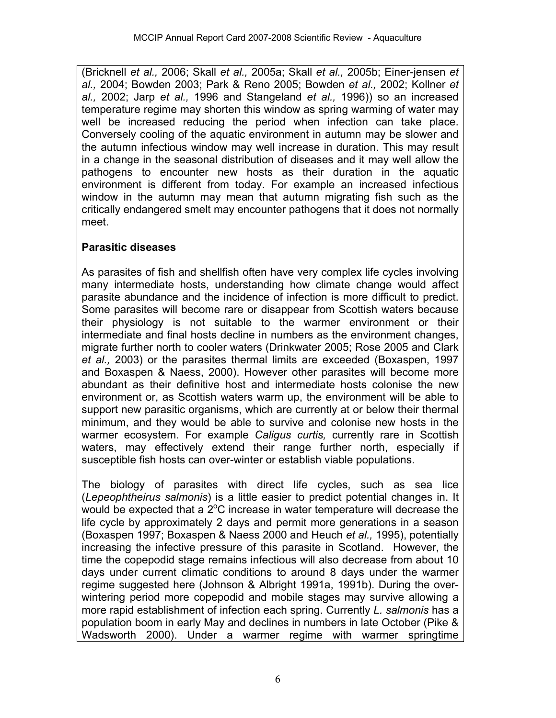(Bricknell *et al.,* 2006; Skall *et al.,* 2005a; Skall *et al.,* 2005b; Einer-jensen *et al.,* 2004; Bowden 2003; Park & Reno 2005; Bowden *et al.,* 2002; Kollner *et al.,* 2002; Jarp *et al.,* 1996 and Stangeland *et al.,* 1996)) so an increased temperature regime may shorten this window as spring warming of water may well be increased reducing the period when infection can take place. Conversely cooling of the aquatic environment in autumn may be slower and the autumn infectious window may well increase in duration. This may result in a change in the seasonal distribution of diseases and it may well allow the pathogens to encounter new hosts as their duration in the aquatic environment is different from today. For example an increased infectious window in the autumn may mean that autumn migrating fish such as the critically endangered smelt may encounter pathogens that it does not normally meet.

# **Parasitic diseases**

As parasites of fish and shellfish often have very complex life cycles involving many intermediate hosts, understanding how climate change would affect parasite abundance and the incidence of infection is more difficult to predict. Some parasites will become rare or disappear from Scottish waters because their physiology is not suitable to the warmer environment or their intermediate and final hosts decline in numbers as the environment changes, migrate further north to cooler waters (Drinkwater 2005; Rose 2005 and Clark *et al.,* 2003) or the parasites thermal limits are exceeded (Boxaspen, 1997 and Boxaspen & Naess, 2000). However other parasites will become more abundant as their definitive host and intermediate hosts colonise the new environment or, as Scottish waters warm up, the environment will be able to support new parasitic organisms, which are currently at or below their thermal minimum, and they would be able to survive and colonise new hosts in the warmer ecosystem. For example *Caligus curtis,* currently rare in Scottish waters, may effectively extend their range further north, especially if susceptible fish hosts can over-winter or establish viable populations.

The biology of parasites with direct life cycles, such as sea lice (*Lepeophtheirus salmonis*) is a little easier to predict potential changes in. It would be expected that a  $2^{\circ}$ C increase in water temperature will decrease the life cycle by approximately 2 days and permit more generations in a season (Boxaspen 1997; Boxaspen & Naess 2000 and Heuch *et al.,* 1995), potentially increasing the infective pressure of this parasite in Scotland. However, the time the copepodid stage remains infectious will also decrease from about 10 days under current climatic conditions to around 8 days under the warmer regime suggested here (Johnson & Albright 1991a, 1991b). During the overwintering period more copepodid and mobile stages may survive allowing a more rapid establishment of infection each spring. Currently *L. salmonis* has a population boom in early May and declines in numbers in late October (Pike & Wadsworth 2000). Under a warmer regime with warmer springtime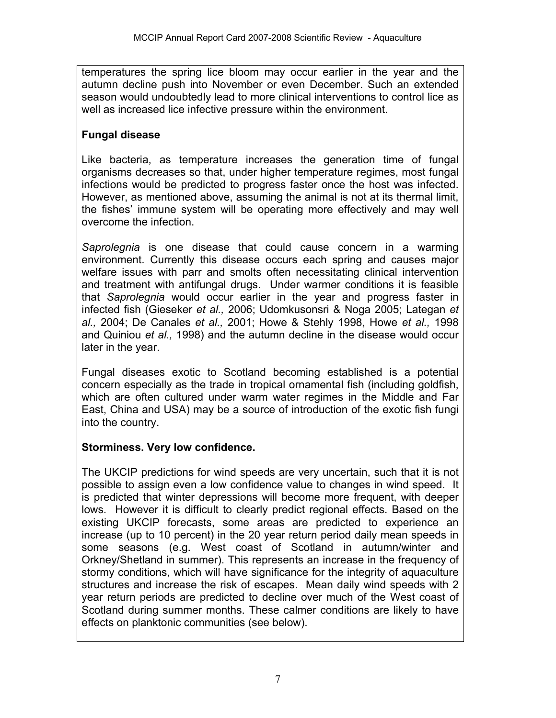temperatures the spring lice bloom may occur earlier in the year and the autumn decline push into November or even December. Such an extended season would undoubtedly lead to more clinical interventions to control lice as well as increased lice infective pressure within the environment.

# **Fungal disease**

Like bacteria, as temperature increases the generation time of fungal organisms decreases so that, under higher temperature regimes, most fungal infections would be predicted to progress faster once the host was infected. However, as mentioned above, assuming the animal is not at its thermal limit, the fishes' immune system will be operating more effectively and may well overcome the infection.

*Saprolegnia* is one disease that could cause concern in a warming environment. Currently this disease occurs each spring and causes major welfare issues with parr and smolts often necessitating clinical intervention and treatment with antifungal drugs. Under warmer conditions it is feasible that *Saprolegnia* would occur earlier in the year and progress faster in infected fish (Gieseker *et al.,* 2006; Udomkusonsri & Noga 2005; Lategan *et al.,* 2004; De Canales *et al.,* 2001; Howe & Stehly 1998, Howe *et al.,* 1998 and Quiniou *et al.,* 1998) and the autumn decline in the disease would occur later in the year.

Fungal diseases exotic to Scotland becoming established is a potential concern especially as the trade in tropical ornamental fish (including goldfish, which are often cultured under warm water regimes in the Middle and Far East, China and USA) may be a source of introduction of the exotic fish fungi into the country.

# **Storminess. Very low confidence.**

The UKCIP predictions for wind speeds are very uncertain, such that it is not possible to assign even a low confidence value to changes in wind speed. It is predicted that winter depressions will become more frequent, with deeper lows. However it is difficult to clearly predict regional effects. Based on the existing UKCIP forecasts, some areas are predicted to experience an increase (up to 10 percent) in the 20 year return period daily mean speeds in some seasons (e.g. West coast of Scotland in autumn/winter and Orkney/Shetland in summer). This represents an increase in the frequency of stormy conditions, which will have significance for the integrity of aquaculture structures and increase the risk of escapes. Mean daily wind speeds with 2 year return periods are predicted to decline over much of the West coast of Scotland during summer months. These calmer conditions are likely to have effects on planktonic communities (see below).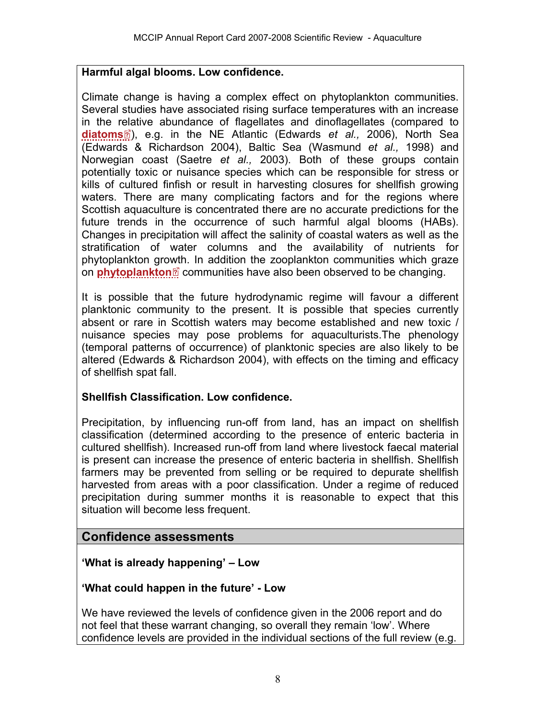### **Harmful algal blooms. Low confidence.**

Climate change is having a complex effect on phytoplankton communities. Several studies have associated rising surface temperatures with an increase in the [rela](http://www.mccip.org.uk/arc/2007/glossary.htm)tive abundance of flagellates and dinoflagellates (compared to **[diatoms](http://www.mccip.org.uk/arc/2007/glossary.htm#Diatoms)** ), e.g. in the NE Atlantic (Edwards *et al.,* 2006), North Sea (Edwards & Richardson 2004), Baltic Sea (Wasmund *et al.,* 1998) and Norwegian coast (Saetre *et al.,* 2003). Both of these groups contain potentially toxic or nuisance species which can be responsible for stress or kills of cultured finfish or result in harvesting closures for shellfish growing waters. There are many complicating factors and for the regions where Scottish aquaculture is concentrated there are no accurate predictions for the future trends in the occurrence of such harmful algal blooms (HABs). Changes in precipitation will affect the salinity of coastal waters as well as the stratification of water columns and the availability of nutrients for phytoplankton gr[owth](http://www.mccip.org.uk/arc/2007/glossary.htm). In addition the zooplankton communities which graze on **[phytoplankton](http://www.mccip.org.uk/arc/2007/glossary.htm#Phytoplankton)**<sup>2</sup> communities have also been observed to be changing.

It is possible that the future hydrodynamic regime will favour a different planktonic community to the present. It is possible that species currently absent or rare in Scottish waters may become established and new toxic / nuisance species may pose problems for aquaculturists.The phenology (temporal patterns of occurrence) of planktonic species are also likely to be altered (Edwards & Richardson 2004), with effects on the timing and efficacy of shellfish spat fall.

#### **Shellfish Classification. Low confidence.**

Precipitation, by influencing run-off from land, has an impact on shellfish classification (determined according to the presence of enteric bacteria in cultured shellfish). Increased run-off from land where livestock faecal material is present can increase the presence of enteric bacteria in shellfish. Shellfish farmers may be prevented from selling or be required to depurate shellfish harvested from areas with a poor classification. Under a regime of reduced precipitation during summer months it is reasonable to expect that this situation will become less frequent.

# **Confidence assessments**

# **'What is already happening' – Low**

#### **'What could happen in the future' - Low**

We have reviewed the levels of confidence given in the 2006 report and do not feel that these warrant changing, so overall they remain 'low'. Where confidence levels are provided in the individual sections of the full review (e.g.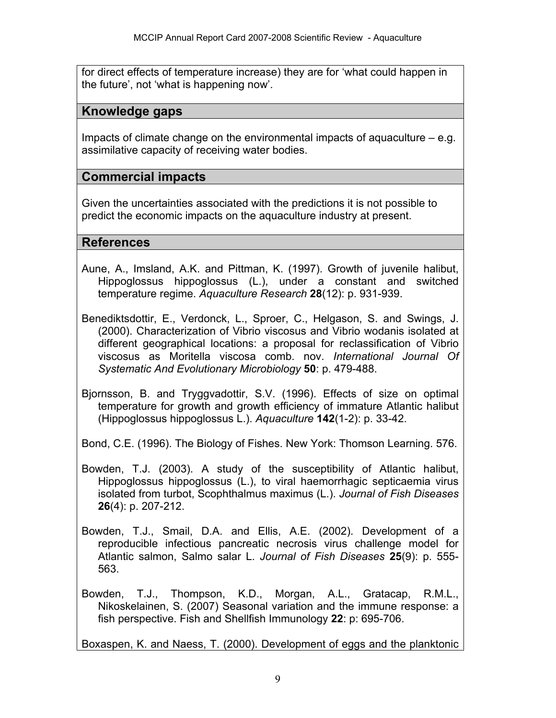for direct effects of temperature increase) they are for 'what could happen in the future', not 'what is happening now'.

# **Knowledge gaps**

Impacts of climate change on the environmental impacts of aquaculture  $-$  e.g. assimilative capacity of receiving water bodies.

# **Commercial impacts**

Given the uncertainties associated with the predictions it is not possible to predict the economic impacts on the aquaculture industry at present.

# **References**

- Aune, A., Imsland, A.K. and Pittman, K. (1997). Growth of juvenile halibut, Hippoglossus hippoglossus (L.), under a constant and switched temperature regime. *Aquaculture Research* **28**(12): p. 931-939.
- Benediktsdottir, E., Verdonck, L., Sproer, C., Helgason, S. and Swings, J. (2000). Characterization of Vibrio viscosus and Vibrio wodanis isolated at different geographical locations: a proposal for reclassification of Vibrio viscosus as Moritella viscosa comb. nov. *International Journal Of Systematic And Evolutionary Microbiology* **50**: p. 479-488.
- Bjornsson, B. and Tryggvadottir, S.V. (1996). Effects of size on optimal temperature for growth and growth efficiency of immature Atlantic halibut (Hippoglossus hippoglossus L.). *Aquaculture* **142**(1-2): p. 33-42.

Bond, C.E. (1996). The Biology of Fishes. New York: Thomson Learning. 576.

- Bowden, T.J. (2003). A study of the susceptibility of Atlantic halibut, Hippoglossus hippoglossus (L.), to viral haemorrhagic septicaemia virus isolated from turbot, Scophthalmus maximus (L.). *Journal of Fish Diseases* **26**(4): p. 207-212.
- Bowden, T.J., Smail, D.A. and Ellis, A.E. (2002). Development of a reproducible infectious pancreatic necrosis virus challenge model for Atlantic salmon, Salmo salar L. *Journal of Fish Diseases* **25**(9): p. 555- 563.
- Bowden, T.J., Thompson, K.D., Morgan, A.L., Gratacap, R.M.L., Nikoskelainen, S. (2007) Seasonal variation and the immune response: a fish perspective. Fish and Shellfish Immunology **22**: p: 695-706.

Boxaspen, K. and Naess, T. (2000). Development of eggs and the planktonic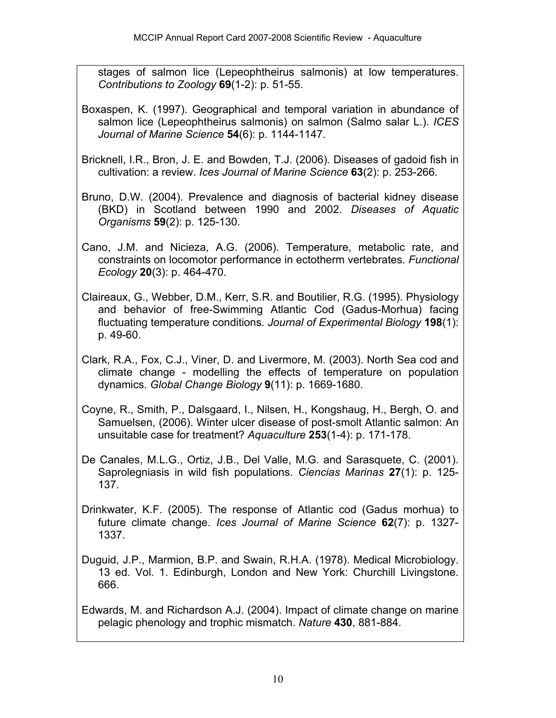stages of salmon lice (Lepeophtheirus salmonis) at low temperatures. *Contributions to Zoology* **69**(1-2): p. 51-55.

- Boxaspen, K. (1997). Geographical and temporal variation in abundance of salmon lice (Lepeophtheirus salmonis) on salmon (Salmo salar L.). *ICES Journal of Marine Science* **54**(6): p. 1144-1147.
- Bricknell, I.R., Bron, J. E. and Bowden, T.J. (2006). Diseases of gadoid fish in cultivation: a review. *Ices Journal of Marine Science* **63**(2): p. 253-266.
- Bruno, D.W. (2004). Prevalence and diagnosis of bacterial kidney disease (BKD) in Scotland between 1990 and 2002. *Diseases of Aquatic Organisms* **59**(2): p. 125-130.
- Cano, J.M. and Nicieza, A.G. (2006). Temperature, metabolic rate, and constraints on locomotor performance in ectotherm vertebrates. *Functional Ecology* **20**(3): p. 464-470.
- Claireaux, G., Webber, D.M., Kerr, S.R. and Boutilier, R.G. (1995). Physiology and behavior of free-Swimming Atlantic Cod (Gadus-Morhua) facing fluctuating temperature conditions. *Journal of Experimental Biology* **198**(1): p. 49-60.
- Clark, R.A., Fox, C.J., Viner, D. and Livermore, M. (2003). North Sea cod and climate change - modelling the effects of temperature on population dynamics. *Global Change Biology* **9**(11): p. 1669-1680.
- Coyne, R., Smith, P., Dalsgaard, I., Nilsen, H., Kongshaug, H., Bergh, O. and Samuelsen, (2006). Winter ulcer disease of post-smolt Atlantic salmon: An unsuitable case for treatment? *Aquaculture* **253**(1-4): p. 171-178.
- De Canales, M.L.G., Ortiz, J.B., Del Valle, M.G. and Sarasquete, C. (2001). Saprolegniasis in wild fish populations. *Ciencias Marinas* **27**(1): p. 125- 137.
- Drinkwater, K.F. (2005). The response of Atlantic cod (Gadus morhua) to future climate change. *Ices Journal of Marine Science* **62**(7): p. 1327- 1337.
- Duguid, J.P., Marmion, B.P. and Swain, R.H.A. (1978). Medical Microbiology. 13 ed. Vol. 1. Edinburgh, London and New York: Churchill Livingstone. 666.

Edwards, M. and Richardson A.J. (2004). Impact of climate change on marine pelagic phenology and trophic mismatch. *Nature* **430**, 881-884.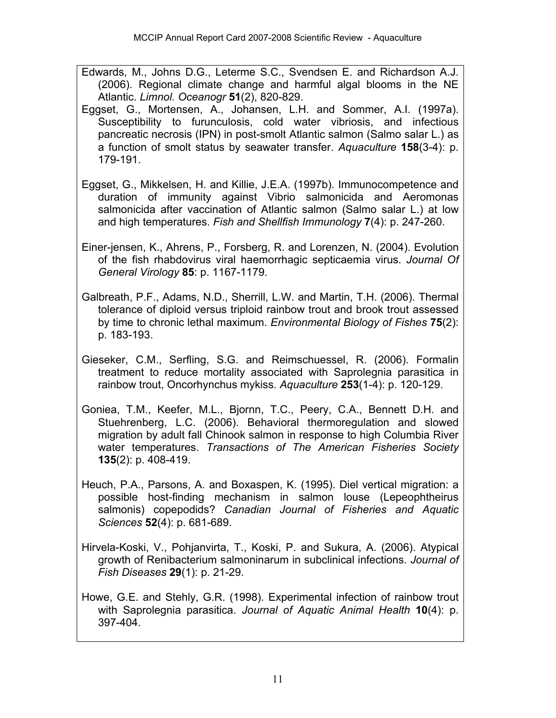- Edwards, M., Johns D.G., Leterme S.C., Svendsen E. and Richardson A.J. (2006). Regional climate change and harmful algal blooms in the NE Atlantic. *Limnol. Oceanogr* **51**(2), 820-829.
- Eggset, G., Mortensen, A., Johansen, L.H. and Sommer, A.I. (1997a). Susceptibility to furunculosis, cold water vibriosis, and infectious pancreatic necrosis (IPN) in post-smolt Atlantic salmon (Salmo salar L.) as a function of smolt status by seawater transfer. *Aquaculture* **158**(3-4): p. 179-191.
- Eggset, G., Mikkelsen, H. and Killie, J.E.A. (1997b). Immunocompetence and duration of immunity against Vibrio salmonicida and Aeromonas salmonicida after vaccination of Atlantic salmon (Salmo salar L.) at low and high temperatures. *Fish and Shellfish Immunology* **7**(4): p. 247-260.
- Einer-jensen, K., Ahrens, P., Forsberg, R. and Lorenzen, N. (2004). Evolution of the fish rhabdovirus viral haemorrhagic septicaemia virus. *Journal Of General Virology* **85**: p. 1167-1179.
- Galbreath, P.F., Adams, N.D., Sherrill, L.W. and Martin, T.H. (2006). Thermal tolerance of diploid versus triploid rainbow trout and brook trout assessed by time to chronic lethal maximum. *Environmental Biology of Fishes* **75**(2): p. 183-193.
- Gieseker, C.M., Serfling, S.G. and Reimschuessel, R. (2006). Formalin treatment to reduce mortality associated with Saprolegnia parasitica in rainbow trout, Oncorhynchus mykiss. *Aquaculture* **253**(1-4): p. 120-129.
- Goniea, T.M., Keefer, M.L., Bjornn, T.C., Peery, C.A., Bennett D.H. and Stuehrenberg, L.C. (2006). Behavioral thermoregulation and slowed migration by adult fall Chinook salmon in response to high Columbia River water temperatures. *Transactions of The American Fisheries Society* **135**(2): p. 408-419.
- Heuch, P.A., Parsons, A. and Boxaspen, K. (1995). Diel vertical migration: a possible host-finding mechanism in salmon louse (Lepeophtheirus salmonis) copepodids? *Canadian Journal of Fisheries and Aquatic Sciences* **52**(4): p. 681-689.
- Hirvela-Koski, V., Pohjanvirta, T., Koski, P. and Sukura, A. (2006). Atypical growth of Renibacterium salmoninarum in subclinical infections. *Journal of Fish Diseases* **29**(1): p. 21-29.
- Howe, G.E. and Stehly, G.R. (1998). Experimental infection of rainbow trout with Saprolegnia parasitica. *Journal of Aquatic Animal Health* **10**(4): p. 397-404.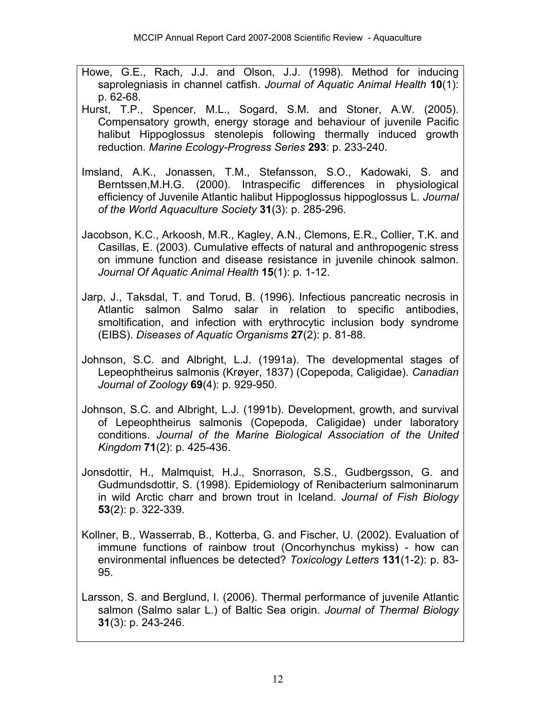- Howe, G.E., Rach, J.J. and Olson, J.J. (1998). Method for inducing saprolegniasis in channel catfish. *Journal of Aquatic Animal Health* **10**(1): p. 62-68.
- Hurst, T.P., Spencer, M.L., Sogard, S.M. and Stoner, A.W. (2005). Compensatory growth, energy storage and behaviour of juvenile Pacific halibut Hippoglossus stenolepis following thermally induced growth reduction. *Marine Ecology-Progress Series* **293**: p. 233-240.
- Imsland, A.K., Jonassen, T.M., Stefansson, S.O., Kadowaki, S. and Berntssen,M.H.G. (2000). Intraspecific differences in physiological efficiency of Juvenile Atlantic halibut Hippoglossus hippoglossus L. *Journal of the World Aquaculture Society* **31**(3): p. 285-296.
- Jacobson, K.C., Arkoosh, M.R., Kagley, A.N., Clemons, E.R., Collier, T.K. and Casillas, E. (2003). Cumulative effects of natural and anthropogenic stress on immune function and disease resistance in juvenile chinook salmon. *Journal Of Aquatic Animal Health* **15**(1): p. 1-12.
- Jarp, J., Taksdal, T. and Torud, B. (1996). Infectious pancreatic necrosis in Atlantic salmon Salmo salar in relation to specific antibodies, smoltification, and infection with erythrocytic inclusion body syndrome (EIBS). *Diseases of Aquatic Organisms* **27**(2): p. 81-88.
- Johnson, S.C. and Albright, L.J. (1991a). The developmental stages of Lepeophtheirus salmonis (Krøyer, 1837) (Copepoda, Caligidae). *Canadian Journal of Zoology* **69**(4): p. 929-950.
- Johnson, S.C. and Albright, L.J. (1991b). Development, growth, and survival of Lepeophtheirus salmonis (Copepoda, Caligidae) under laboratory conditions. *Journal of the Marine Biological Association of the United Kingdom* **71**(2): p. 425-436.
- Jonsdottir, H., Malmquist, H.J., Snorrason, S.S., Gudbergsson, G. and Gudmundsdottir, S. (1998). Epidemiology of Renibacterium salmoninarum in wild Arctic charr and brown trout in Iceland. *Journal of Fish Biology* **53**(2): p. 322-339.
- Kollner, B., Wasserrab, B., Kotterba, G. and Fischer, U. (2002). Evaluation of immune functions of rainbow trout (Oncorhynchus mykiss) - how can environmental influences be detected? *Toxicology Letters* **131**(1-2): p. 83- 95.
- Larsson, S. and Berglund, I. (2006). Thermal performance of juvenile Atlantic salmon (Salmo salar L.) of Baltic Sea origin. *Journal of Thermal Biology* **31**(3): p. 243-246.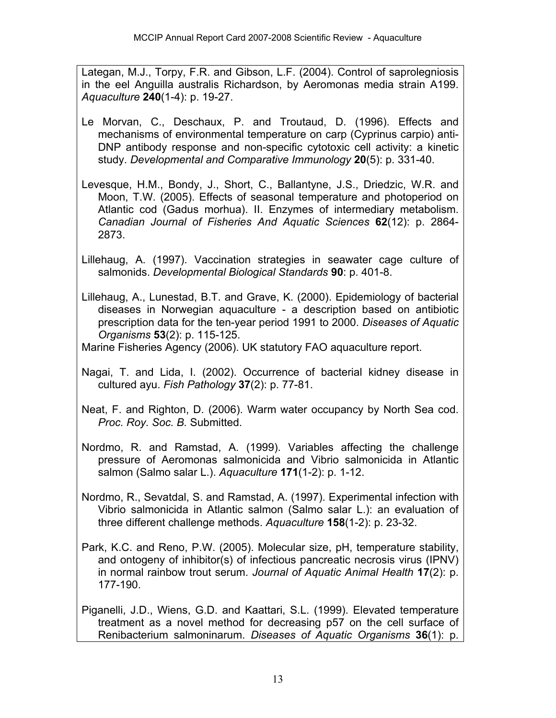Lategan, M.J., Torpy, F.R. and Gibson, L.F. (2004). Control of saprolegniosis in the eel Anguilla australis Richardson, by Aeromonas media strain A199. *Aquaculture* **240**(1-4): p. 19-27.

- Le Morvan, C., Deschaux, P. and Troutaud, D. (1996). Effects and mechanisms of environmental temperature on carp (Cyprinus carpio) anti-DNP antibody response and non-specific cytotoxic cell activity: a kinetic study. *Developmental and Comparative Immunology* **20**(5): p. 331-40.
- Levesque, H.M., Bondy, J., Short, C., Ballantyne, J.S., Driedzic, W.R. and Moon, T.W. (2005). Effects of seasonal temperature and photoperiod on Atlantic cod (Gadus morhua). II. Enzymes of intermediary metabolism. *Canadian Journal of Fisheries And Aquatic Sciences* **62**(12): p. 2864- 2873.
- Lillehaug, A. (1997). Vaccination strategies in seawater cage culture of salmonids. *Developmental Biological Standards* **90**: p. 401-8.
- Lillehaug, A., Lunestad, B.T. and Grave, K. (2000). Epidemiology of bacterial diseases in Norwegian aquaculture - a description based on antibiotic prescription data for the ten-year period 1991 to 2000. *Diseases of Aquatic Organisms* **53**(2): p. 115-125.

Marine Fisheries Agency (2006). UK statutory FAO aquaculture report.

- Nagai, T. and Lida, I. (2002). Occurrence of bacterial kidney disease in cultured ayu. *Fish Pathology* **37**(2): p. 77-81.
- Neat, F. and Righton, D. (2006). Warm water occupancy by North Sea cod. *Proc. Roy. Soc. B.* Submitted.
- Nordmo, R. and Ramstad, A. (1999). Variables affecting the challenge pressure of Aeromonas salmonicida and Vibrio salmonicida in Atlantic salmon (Salmo salar L.). *Aquaculture* **171**(1-2): p. 1-12.
- Nordmo, R., Sevatdal, S. and Ramstad, A. (1997). Experimental infection with Vibrio salmonicida in Atlantic salmon (Salmo salar L.): an evaluation of three different challenge methods. *Aquaculture* **158**(1-2): p. 23-32.
- Park, K.C. and Reno, P.W. (2005). Molecular size, pH, temperature stability, and ontogeny of inhibitor(s) of infectious pancreatic necrosis virus (IPNV) in normal rainbow trout serum. *Journal of Aquatic Animal Health* **17**(2): p. 177-190.

Piganelli, J.D., Wiens, G.D. and Kaattari, S.L. (1999). Elevated temperature treatment as a novel method for decreasing p57 on the cell surface of Renibacterium salmoninarum. *Diseases of Aquatic Organisms* **36**(1): p.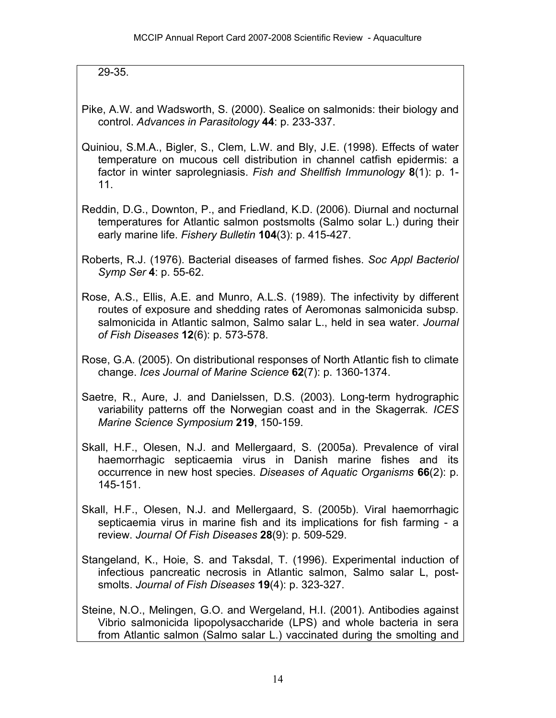29-35.

- Pike, A.W. and Wadsworth, S. (2000). Sealice on salmonids: their biology and control. *Advances in Parasitology* **44**: p. 233-337.
- Quiniou, S.M.A., Bigler, S., Clem, L.W. and Bly, J.E. (1998). Effects of water temperature on mucous cell distribution in channel catfish epidermis: a factor in winter saprolegniasis. *Fish and Shellfish Immunology* **8**(1): p. 1- 11.
- Reddin, D.G., Downton, P., and Friedland, K.D. (2006). Diurnal and nocturnal temperatures for Atlantic salmon postsmolts (Salmo solar L.) during their early marine life. *Fishery Bulletin* **104**(3): p. 415-427.
- Roberts, R.J. (1976). Bacterial diseases of farmed fishes. *Soc Appl Bacteriol Symp Ser* **4**: p. 55-62.
- Rose, A.S., Ellis, A.E. and Munro, A.L.S. (1989). The infectivity by different routes of exposure and shedding rates of Aeromonas salmonicida subsp. salmonicida in Atlantic salmon, Salmo salar L., held in sea water. *Journal of Fish Diseases* **12**(6): p. 573-578.
- Rose, G.A. (2005). On distributional responses of North Atlantic fish to climate change. *Ices Journal of Marine Science* **62**(7): p. 1360-1374.
- Saetre, R., Aure, J. and Danielssen, D.S. (2003). Long-term hydrographic variability patterns off the Norwegian coast and in the Skagerrak*. ICES Marine Science Symposium* **219**, 150-159.
- Skall, H.F., Olesen, N.J. and Mellergaard, S. (2005a). Prevalence of viral haemorrhagic septicaemia virus in Danish marine fishes and its occurrence in new host species. *Diseases of Aquatic Organisms* **66**(2): p. 145-151.
- Skall, H.F., Olesen, N.J. and Mellergaard, S. (2005b). Viral haemorrhagic septicaemia virus in marine fish and its implications for fish farming - a review. *Journal Of Fish Diseases* **28**(9): p. 509-529.
- Stangeland, K., Hoie, S. and Taksdal, T. (1996). Experimental induction of infectious pancreatic necrosis in Atlantic salmon, Salmo salar L, postsmolts. *Journal of Fish Diseases* **19**(4): p. 323-327.
- Steine, N.O., Melingen, G.O. and Wergeland, H.I. (2001). Antibodies against Vibrio salmonicida lipopolysaccharide (LPS) and whole bacteria in sera from Atlantic salmon (Salmo salar L.) vaccinated during the smolting and